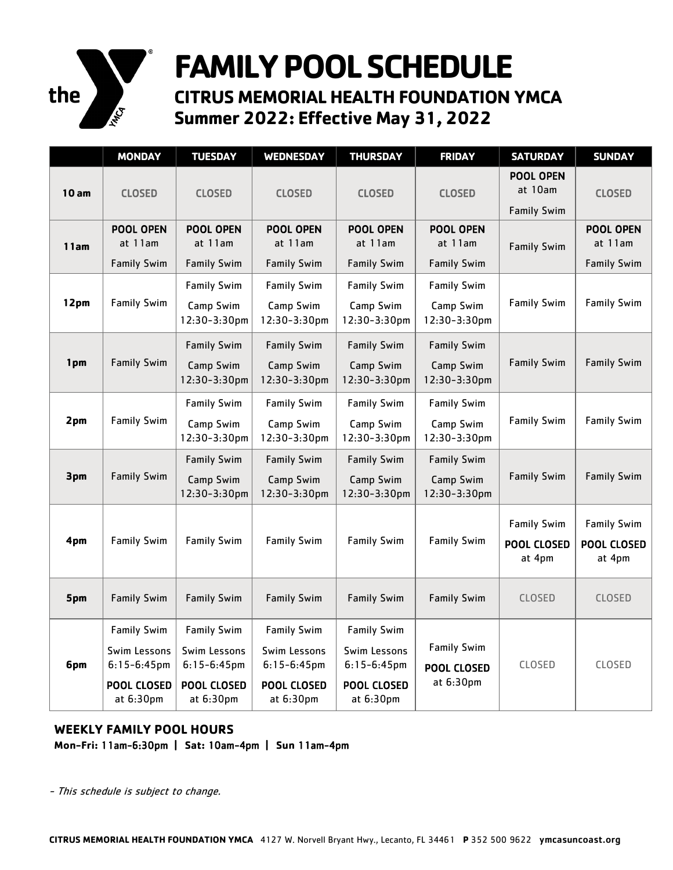

## **FAMILY POOL SCHEDULE**

**CITRUS MEMORIAL HEALTH FOUNDATION YMCA Summer 2022: Effective May 31, 2022** 

|      | <b>MONDAY</b>                                                                           | <b>TUESDAY</b>                                                                   | <b>WEDNESDAY</b>                                                                 | <b>THURSDAY</b>                                                                         | <b>FRIDAY</b>                                   | <b>SATURDAY</b>                                   | <b>SUNDAY</b>                                     |
|------|-----------------------------------------------------------------------------------------|----------------------------------------------------------------------------------|----------------------------------------------------------------------------------|-----------------------------------------------------------------------------------------|-------------------------------------------------|---------------------------------------------------|---------------------------------------------------|
| 10am | <b>CLOSED</b>                                                                           | <b>CLOSED</b>                                                                    | <b>CLOSED</b>                                                                    | <b>CLOSED</b>                                                                           | <b>CLOSED</b>                                   | <b>POOL OPEN</b><br>at 10am<br><b>Family Swim</b> | <b>CLOSED</b>                                     |
| 11am | <b>POOL OPEN</b><br>at 11am<br><b>Family Swim</b>                                       | <b>POOL OPEN</b><br>at 11am<br><b>Family Swim</b>                                | POOL OPEN<br>at 11am<br><b>Family Swim</b>                                       | <b>POOL OPEN</b><br>at 11am<br><b>Family Swim</b>                                       | POOL OPEN<br>at 11am<br><b>Family Swim</b>      | <b>Family Swim</b>                                | <b>POOL OPEN</b><br>at 11am<br><b>Family Swim</b> |
| 12pm | <b>Family Swim</b>                                                                      | <b>Family Swim</b><br>Camp Swim<br>12:30-3:30pm                                  | <b>Family Swim</b><br>Camp Swim<br>12:30-3:30pm                                  | <b>Family Swim</b><br>Camp Swim<br>12:30-3:30pm                                         | <b>Family Swim</b><br>Camp Swim<br>12:30-3:30pm | <b>Family Swim</b>                                | <b>Family Swim</b>                                |
| 1pm  | <b>Family Swim</b>                                                                      | <b>Family Swim</b><br>Camp Swim<br>12:30-3:30pm                                  | <b>Family Swim</b><br>Camp Swim<br>12:30-3:30pm                                  | <b>Family Swim</b><br>Camp Swim<br>12:30-3:30pm                                         | <b>Family Swim</b><br>Camp Swim<br>12:30-3:30pm | <b>Family Swim</b>                                | <b>Family Swim</b>                                |
| 2pm  | <b>Family Swim</b>                                                                      | <b>Family Swim</b><br>Camp Swim<br>12:30-3:30pm                                  | <b>Family Swim</b><br>Camp Swim<br>12:30-3:30pm                                  | <b>Family Swim</b><br>Camp Swim<br>12:30-3:30pm                                         | <b>Family Swim</b><br>Camp Swim<br>12:30-3:30pm | <b>Family Swim</b>                                | <b>Family Swim</b>                                |
| 3pm  | <b>Family Swim</b>                                                                      | <b>Family Swim</b><br>Camp Swim<br>12:30-3:30pm                                  | <b>Family Swim</b><br>Camp Swim<br>12:30-3:30pm                                  | <b>Family Swim</b><br>Camp Swim<br>12:30-3:30pm                                         | <b>Family Swim</b><br>Camp Swim<br>12:30-3:30pm | <b>Family Swim</b>                                | <b>Family Swim</b>                                |
| 4pm  | <b>Family Swim</b>                                                                      | <b>Family Swim</b>                                                               | <b>Family Swim</b>                                                               | <b>Family Swim</b>                                                                      | <b>Family Swim</b>                              | <b>Family Swim</b><br>POOL CLOSED<br>at 4pm       | <b>Family Swim</b><br>POOL CLOSED<br>at 4pm       |
| 5pm  | <b>Family Swim</b>                                                                      | <b>Family Swim</b>                                                               | <b>Family Swim</b>                                                               | <b>Family Swim</b>                                                                      | <b>Family Swim</b>                              | <b>CLOSED</b>                                     | <b>CLOSED</b>                                     |
| 6pm  | <b>Family Swim</b><br>Swim Lessons<br>$6:15-6:45$ pm<br><b>POOL CLOSED</b><br>at 6:30pm | <b>Family Swim</b><br>Swim Lessons<br>$6:15-6:45$ pm<br>POOL CLOSED<br>at 6:30pm | <b>Family Swim</b><br>Swim Lessons<br>$6:15-6:45$ pm<br>POOL CLOSED<br>at 6:30pm | <b>Family Swim</b><br>Swim Lessons<br>$6:15-6:45$ pm<br><b>POOL CLOSED</b><br>at 6:30pm | <b>Family Swim</b><br>POOL CLOSED<br>at 6:30pm  | CLOSED                                            | CLOSED                                            |

## **WEEKLY FAMILY POOL HOURS**

**Mon-Fri:** 11am-6:30pm **| Sat:** 10am-4pm **| Sun** 11am-4pm

- This schedule is subject to change.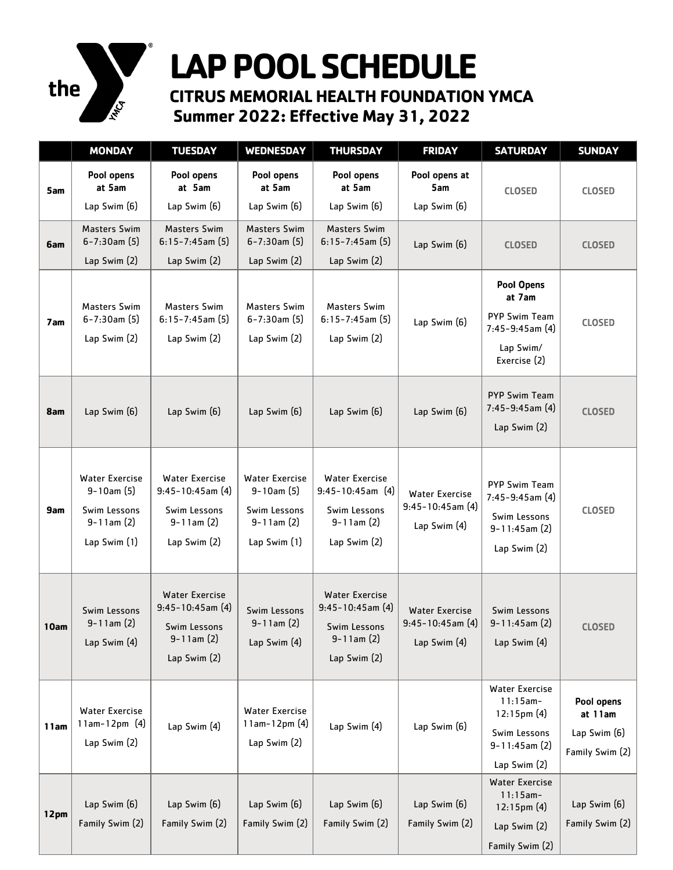

## **LAP POOL SCHEDULE**

**CITRUS MEMORIAL HEALTH FOUNDATION YMCA Summer 2022: Effective May 31, 2022** 

|      | <b>MONDAY</b>                                                                                 | <b>TUESDAY</b>                                                                                      | <b>WEDNESDAY</b>                                                                                | <b>THURSDAY</b>                                                                                   | <b>FRIDAY</b>                                                    | <b>SATURDAY</b>                                                                                           | <b>SUNDAY</b>                                            |
|------|-----------------------------------------------------------------------------------------------|-----------------------------------------------------------------------------------------------------|-------------------------------------------------------------------------------------------------|---------------------------------------------------------------------------------------------------|------------------------------------------------------------------|-----------------------------------------------------------------------------------------------------------|----------------------------------------------------------|
| 5am  | Pool opens<br>at 5am<br>Lap Swim (6)                                                          | Pool opens<br>at 5am<br>Lap Swim (6)                                                                | Pool opens<br>at 5am<br>Lap Swim (6)                                                            | Pool opens<br>at 5am<br>Lap Swim (6)                                                              | Pool opens at<br>5am<br>Lap Swim (6)                             | <b>CLOSED</b>                                                                                             | <b>CLOSED</b>                                            |
| 6am  | <b>Masters Swim</b><br>$6 - 7:30$ am $(5)$<br>Lap Swim (2)                                    | <b>Masters Swim</b><br>$6:15 - 7:45$ am $(5)$<br>Lap Swim (2)                                       | <b>Masters Swim</b><br>$6 - 7:30$ am $(5)$<br>Lap Swim (2)                                      | <b>Masters Swim</b><br>$6:15 - 7:45$ am $(5)$<br>Lap Swim (2)                                     | Lap Swim (6)                                                     | <b>CLOSED</b>                                                                                             | <b>CLOSED</b>                                            |
| 7 am | <b>Masters Swim</b><br>$6 - 7:30$ am $(5)$<br>Lap Swim (2)                                    | <b>Masters Swim</b><br>$6:15 - 7:45$ am $(5)$<br>Lap Swim (2)                                       | <b>Masters Swim</b><br>$6 - 7:30$ am $(5)$<br>Lap Swim (2)                                      | <b>Masters Swim</b><br>$6:15 - 7:45$ am $(5)$<br>Lap Swim (2)                                     | Lap Swim (6)                                                     | <b>Pool Opens</b><br>at 7am<br><b>PYP Swim Team</b><br>$7:45-9:45$ am $(4)$<br>Lap Swim/<br>Exercise (2)  | <b>CLOSED</b>                                            |
| 8am  | Lap Swim (6)                                                                                  | Lap Swim (6)                                                                                        | Lap Swim (6)                                                                                    | Lap Swim (6)                                                                                      | Lap Swim (6)                                                     | <b>PYP Swim Team</b><br>$7:45-9:45$ am (4)<br>Lap Swim (2)                                                | <b>CLOSED</b>                                            |
| 9am  | <b>Water Exercise</b><br>$9 - 10$ am $(5)$<br>Swim Lessons<br>$9-11$ am $(2)$<br>Lap Swim (1) | Water Exercise<br>$9:45-10:45$ am $(4)$<br>Swim Lessons<br>$9 - 11$ am $(2)$<br>Lap Swim (2)        | <b>Water Exercise</b><br>$9 - 10$ am $(5)$<br>Swim Lessons<br>$9 - 11$ am $(2)$<br>Lap Swim (1) | <b>Water Exercise</b><br>$9:45-10:45$ am (4)<br>Swim Lessons<br>$9 - 11$ am $(2)$<br>Lap Swim (2) | <b>Water Exercise</b><br>$9:45 - 10:45$ am $(4)$<br>Lap Swim (4) | <b>PYP Swim Team</b><br>7:45-9:45am (4)<br>Swim Lessons<br>$9 - 11:45$ am $(2)$<br>Lap Swim (2)           | <b>CLOSED</b>                                            |
| 10am | Swim Lessons<br>$9 - 11$ am $(2)$<br>Lap Swim (4)                                             | <b>Water Exercise</b><br>$9:45 - 10:45$ am (4)<br>Swim Lessons<br>$9 - 11$ am $(2)$<br>Lap Swim (2) | Swim Lessons<br>$9 - 11$ am $(2)$<br>Lap Swim (4)                                               | <b>Water Exercise</b><br>$9:45 - 10:45$ am (4)<br>Swim Lessons<br>$9-11$ am $(2)$<br>Lap Swim (2) | <b>Water Exercise</b><br>$9:45 - 10:45$ am (4)<br>Lap Swim (4)   | Swim Lessons<br>$9 - 11:45$ am $(2)$<br>Lap Swim (4)                                                      | <b>CLOSED</b>                                            |
| 11am | <b>Water Exercise</b><br>$11am-12pm (4)$<br>Lap Swim (2)                                      | Lap Swim (4)                                                                                        | <b>Water Exercise</b><br>$11am-12pm(4)$<br>Lap Swim (2)                                         | Lap Swim (4)                                                                                      | Lap Swim (6)                                                     | <b>Water Exercise</b><br>$11:15am -$<br>$12:15$ pm $(4)$<br>Swim Lessons<br>9-11:45am (2)<br>Lap Swim (2) | Pool opens<br>at 11am<br>Lap Swim (6)<br>Family Swim (2) |
| 12pm | Lap Swim (6)<br>Family Swim (2)                                                               | Lap Swim (6)<br>Family Swim (2)                                                                     | Lap Swim (6)<br>Family Swim (2)                                                                 | Lap Swim (6)<br>Family Swim (2)                                                                   | Lap Swim (6)<br>Family Swim (2)                                  | <b>Water Exercise</b><br>$11:15am -$<br>$12:15$ pm $(4)$<br>Lap Swim $(2)$<br>Family Swim (2)             | Lap Swim (6)<br>Family Swim (2)                          |